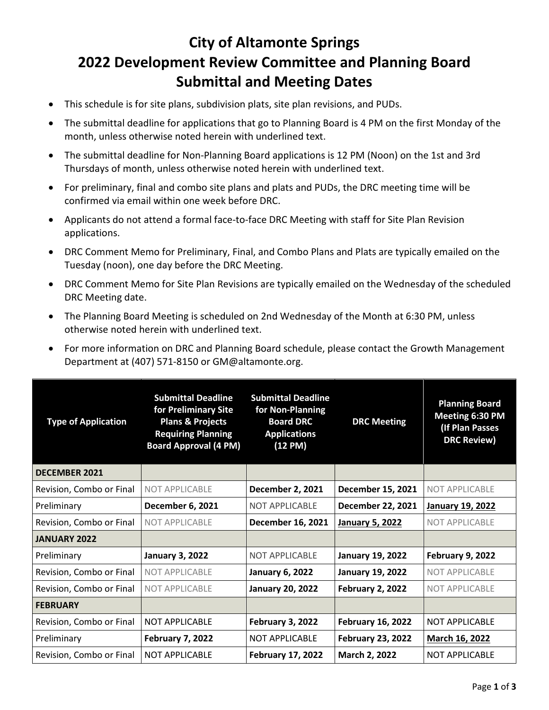## **City of Altamonte Springs 2022 Development Review Committee and Planning Board Submittal and Meeting Dates**

- This schedule is for site plans, subdivision plats, site plan revisions, and PUDs.
- The submittal deadline for applications that go to Planning Board is 4 PM on the first Monday of the month, unless otherwise noted herein with underlined text.
- The submittal deadline for Non-Planning Board applications is 12 PM (Noon) on the 1st and 3rd Thursdays of month, unless otherwise noted herein with underlined text.
- For preliminary, final and combo site plans and plats and PUDs, the DRC meeting time will be confirmed via email within one week before DRC.
- Applicants do not attend a formal face-to-face DRC Meeting with staff for Site Plan Revision applications.
- DRC Comment Memo for Preliminary, Final, and Combo Plans and Plats are typically emailed on the Tuesday (noon), one day before the DRC Meeting.
- DRC Comment Memo for Site Plan Revisions are typically emailed on the Wednesday of the scheduled DRC Meeting date.
- The Planning Board Meeting is scheduled on 2nd Wednesday of the Month at 6:30 PM, unless otherwise noted herein with underlined text.
- For more information on DRC and Planning Board schedule, please contact the Growth Management Department at (407) 571-8150 or [GM@altamonte.org.](mailto:GM@altamonte.org)

| <b>Type of Application</b> | <b>Submittal Deadline</b><br>for Preliminary Site<br><b>Plans &amp; Projects</b><br><b>Requiring Planning</b><br><b>Board Approval (4 PM)</b> | <b>Submittal Deadline</b><br>for Non-Planning<br><b>Board DRC</b><br><b>Applications</b><br>$(12 \text{ PM})$ | <b>DRC Meeting</b>       | <b>Planning Board</b><br>Meeting 6:30 PM<br>(If Plan Passes<br><b>DRC Review)</b> |
|----------------------------|-----------------------------------------------------------------------------------------------------------------------------------------------|---------------------------------------------------------------------------------------------------------------|--------------------------|-----------------------------------------------------------------------------------|
| <b>DECEMBER 2021</b>       |                                                                                                                                               |                                                                                                               |                          |                                                                                   |
| Revision, Combo or Final   | NOT APPLICABLE                                                                                                                                | <b>December 2, 2021</b>                                                                                       | December 15, 2021        | NOT APPLICABLE                                                                    |
| Preliminary                | <b>December 6, 2021</b>                                                                                                                       | <b>NOT APPLICABLE</b>                                                                                         | December 22, 2021        | <b>January 19, 2022</b>                                                           |
| Revision, Combo or Final   | <b>NOT APPLICABLE</b>                                                                                                                         | December 16, 2021                                                                                             | <b>January 5, 2022</b>   | <b>NOT APPLICABLE</b>                                                             |
| <b>JANUARY 2022</b>        |                                                                                                                                               |                                                                                                               |                          |                                                                                   |
| Preliminary                | <b>January 3, 2022</b>                                                                                                                        | <b>NOT APPLICABLE</b>                                                                                         | <b>January 19, 2022</b>  | <b>February 9, 2022</b>                                                           |
| Revision, Combo or Final   | <b>NOT APPLICABLE</b>                                                                                                                         | <b>January 6, 2022</b>                                                                                        | <b>January 19, 2022</b>  | <b>NOT APPLICABLE</b>                                                             |
| Revision, Combo or Final   | <b>NOT APPLICABLE</b>                                                                                                                         | <b>January 20, 2022</b>                                                                                       | <b>February 2, 2022</b>  | <b>NOT APPLICABLE</b>                                                             |
| <b>FEBRUARY</b>            |                                                                                                                                               |                                                                                                               |                          |                                                                                   |
| Revision, Combo or Final   | <b>NOT APPLICABLE</b>                                                                                                                         | February 3, 2022                                                                                              | <b>February 16, 2022</b> | <b>NOT APPLICABLE</b>                                                             |
| Preliminary                | <b>February 7, 2022</b>                                                                                                                       | <b>NOT APPLICABLE</b>                                                                                         | <b>February 23, 2022</b> | <b>March 16, 2022</b>                                                             |
| Revision, Combo or Final   | <b>NOT APPLICABLE</b>                                                                                                                         | <b>February 17, 2022</b>                                                                                      | March 2, 2022            | <b>NOT APPLICABLE</b>                                                             |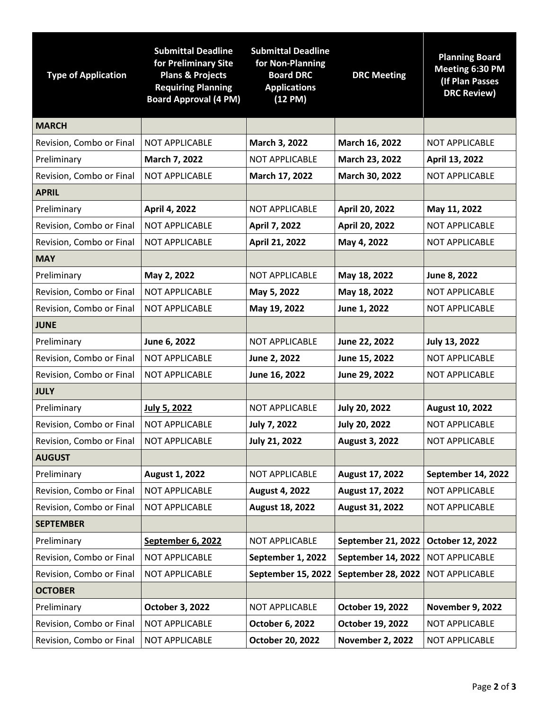| <b>Type of Application</b> | <b>Submittal Deadline</b><br>for Preliminary Site<br><b>Plans &amp; Projects</b><br><b>Requiring Planning</b><br><b>Board Approval (4 PM)</b> | <b>Submittal Deadline</b><br>for Non-Planning<br><b>Board DRC</b><br><b>Applications</b><br>(12 PM) | <b>DRC Meeting</b>      | <b>Planning Board</b><br>Meeting 6:30 PM<br>(If Plan Passes<br><b>DRC Review)</b> |
|----------------------------|-----------------------------------------------------------------------------------------------------------------------------------------------|-----------------------------------------------------------------------------------------------------|-------------------------|-----------------------------------------------------------------------------------|
| <b>MARCH</b>               |                                                                                                                                               |                                                                                                     |                         |                                                                                   |
| Revision, Combo or Final   | <b>NOT APPLICABLE</b>                                                                                                                         | March 3, 2022                                                                                       | March 16, 2022          | <b>NOT APPLICABLE</b>                                                             |
| Preliminary                | March 7, 2022                                                                                                                                 | <b>NOT APPLICABLE</b>                                                                               | March 23, 2022          | April 13, 2022                                                                    |
| Revision, Combo or Final   | <b>NOT APPLICABLE</b>                                                                                                                         | March 17, 2022                                                                                      | March 30, 2022          | <b>NOT APPLICABLE</b>                                                             |
| <b>APRIL</b>               |                                                                                                                                               |                                                                                                     |                         |                                                                                   |
| Preliminary                | April 4, 2022                                                                                                                                 | <b>NOT APPLICABLE</b>                                                                               | April 20, 2022          | May 11, 2022                                                                      |
| Revision, Combo or Final   | <b>NOT APPLICABLE</b>                                                                                                                         | April 7, 2022                                                                                       | April 20, 2022          | <b>NOT APPLICABLE</b>                                                             |
| Revision, Combo or Final   | <b>NOT APPLICABLE</b>                                                                                                                         | April 21, 2022                                                                                      | May 4, 2022             | <b>NOT APPLICABLE</b>                                                             |
| <b>MAY</b>                 |                                                                                                                                               |                                                                                                     |                         |                                                                                   |
| Preliminary                | May 2, 2022                                                                                                                                   | <b>NOT APPLICABLE</b>                                                                               | May 18, 2022            | June 8, 2022                                                                      |
| Revision, Combo or Final   | <b>NOT APPLICABLE</b>                                                                                                                         | May 5, 2022                                                                                         | May 18, 2022            | <b>NOT APPLICABLE</b>                                                             |
| Revision, Combo or Final   | <b>NOT APPLICABLE</b>                                                                                                                         | May 19, 2022                                                                                        | June 1, 2022            | <b>NOT APPLICABLE</b>                                                             |
| <b>JUNE</b>                |                                                                                                                                               |                                                                                                     |                         |                                                                                   |
| Preliminary                | June 6, 2022                                                                                                                                  | <b>NOT APPLICABLE</b>                                                                               | June 22, 2022           | <b>July 13, 2022</b>                                                              |
| Revision, Combo or Final   | <b>NOT APPLICABLE</b>                                                                                                                         | June 2, 2022                                                                                        | June 15, 2022           | <b>NOT APPLICABLE</b>                                                             |
| Revision, Combo or Final   | <b>NOT APPLICABLE</b>                                                                                                                         | June 16, 2022                                                                                       | June 29, 2022           | <b>NOT APPLICABLE</b>                                                             |
| <b>JULY</b>                |                                                                                                                                               |                                                                                                     |                         |                                                                                   |
| Preliminary                | <b>July 5, 2022</b>                                                                                                                           | <b>NOT APPLICABLE</b>                                                                               | <b>July 20, 2022</b>    | August 10, 2022                                                                   |
| Revision, Combo or Final   | <b>NOT APPLICABLE</b>                                                                                                                         | <b>July 7, 2022</b>                                                                                 | <b>July 20, 2022</b>    | <b>NOT APPLICABLE</b>                                                             |
| Revision, Combo or Final   | NOT APPLICABLE                                                                                                                                | <b>July 21, 2022</b>                                                                                | <b>August 3, 2022</b>   | NOT APPLICABLE                                                                    |
| <b>AUGUST</b>              |                                                                                                                                               |                                                                                                     |                         |                                                                                   |
| Preliminary                | August 1, 2022                                                                                                                                | <b>NOT APPLICABLE</b>                                                                               | August 17, 2022         | September 14, 2022                                                                |
| Revision, Combo or Final   | NOT APPLICABLE                                                                                                                                | <b>August 4, 2022</b>                                                                               | August 17, 2022         | <b>NOT APPLICABLE</b>                                                             |
| Revision, Combo or Final   | <b>NOT APPLICABLE</b>                                                                                                                         | August 18, 2022                                                                                     | August 31, 2022         | <b>NOT APPLICABLE</b>                                                             |
| <b>SEPTEMBER</b>           |                                                                                                                                               |                                                                                                     |                         |                                                                                   |
| Preliminary                | September 6, 2022                                                                                                                             | <b>NOT APPLICABLE</b>                                                                               | September 21, 2022      | October 12, 2022                                                                  |
| Revision, Combo or Final   | <b>NOT APPLICABLE</b>                                                                                                                         | September 1, 2022                                                                                   | September 14, 2022      | NOT APPLICABLE                                                                    |
| Revision, Combo or Final   | NOT APPLICABLE                                                                                                                                | September 15, 2022                                                                                  | September 28, 2022      | <b>NOT APPLICABLE</b>                                                             |
| <b>OCTOBER</b>             |                                                                                                                                               |                                                                                                     |                         |                                                                                   |
| Preliminary                | October 3, 2022                                                                                                                               | NOT APPLICABLE                                                                                      | October 19, 2022        | <b>November 9, 2022</b>                                                           |
| Revision, Combo or Final   | NOT APPLICABLE                                                                                                                                | October 6, 2022                                                                                     | October 19, 2022        | <b>NOT APPLICABLE</b>                                                             |
| Revision, Combo or Final   | NOT APPLICABLE                                                                                                                                | October 20, 2022                                                                                    | <b>November 2, 2022</b> | NOT APPLICABLE                                                                    |